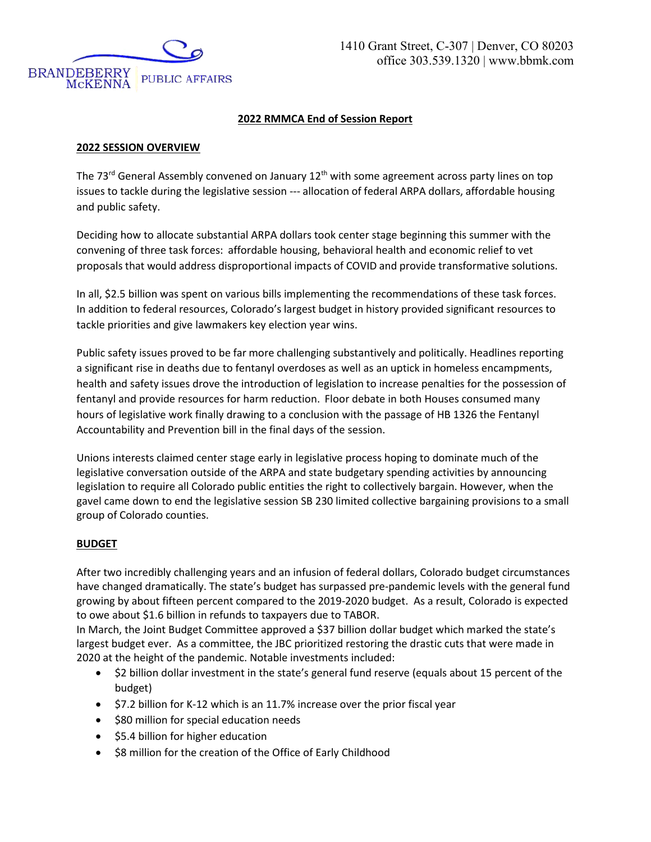

# **2022 RMMCA End of Session Report**

#### **2022 SESSION OVERVIEW**

The 73<sup>rd</sup> General Assembly convened on January 12<sup>th</sup> with some agreement across party lines on top issues to tackle during the legislative session --- allocation of federal ARPA dollars, affordable housing and public safety.

Deciding how to allocate substantial ARPA dollars took center stage beginning this summer with the convening of three task forces: affordable housing, behavioral health and economic relief to vet proposals that would address disproportional impacts of COVID and provide transformative solutions.

In all, \$2.5 billion was spent on various bills implementing the recommendations of these task forces. In addition to federal resources, Colorado's largest budget in history provided significant resources to tackle priorities and give lawmakers key election year wins.

Public safety issues proved to be far more challenging substantively and politically. Headlines reporting a significant rise in deaths due to fentanyl overdoses as well as an uptick in homeless encampments, health and safety issues drove the introduction of legislation to increase penalties for the possession of fentanyl and provide resources for harm reduction. Floor debate in both Houses consumed many hours of legislative work finally drawing to a conclusion with the passage of HB 1326 the Fentanyl Accountability and Prevention bill in the final days of the session.

Unions interests claimed center stage early in legislative process hoping to dominate much of the legislative conversation outside of the ARPA and state budgetary spending activities by announcing legislation to require all Colorado public entities the right to collectively bargain. However, when the gavel came down to end the legislative session SB 230 limited collective bargaining provisions to a small group of Colorado counties.

## **BUDGET**

After two incredibly challenging years and an infusion of federal dollars, Colorado budget circumstances have changed dramatically. The state's budget has surpassed pre-pandemic levels with the general fund growing by about fifteen percent compared to the 2019-2020 budget. As a result, Colorado is expected to owe about \$1.6 billion in refunds to taxpayers due to TABOR.

In March, the Joint Budget Committee approved a \$37 billion dollar budget which marked the state's largest budget ever. As a committee, the JBC prioritized restoring the drastic cuts that were made in 2020 at the height of the pandemic. Notable investments included:

- \$2 billion dollar investment in the state's general fund reserve (equals about 15 percent of the budget)
- \$7.2 billion for K-12 which is an 11.7% increase over the prior fiscal year
- \$80 million for special education needs
- \$5.4 billion for higher education
- \$8 million for the creation of the Office of Early Childhood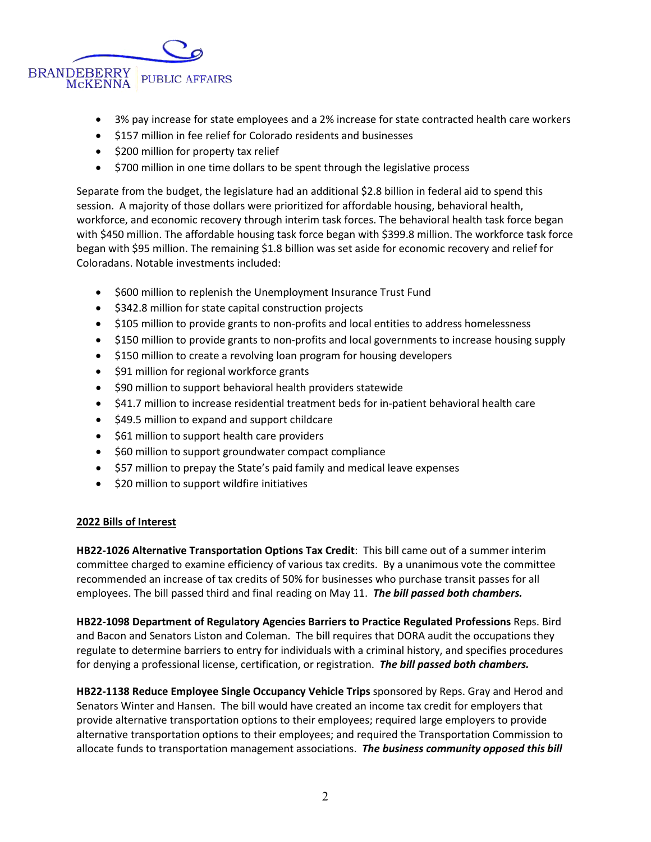

- 3% pay increase for state employees and a 2% increase for state contracted health care workers
- \$157 million in fee relief for Colorado residents and businesses
- \$200 million for property tax relief
- \$700 million in one time dollars to be spent through the legislative process

Separate from the budget, the legislature had an additional \$2.8 billion in federal aid to spend this session. A majority of those dollars were prioritized for affordable housing, behavioral health, workforce, and economic recovery through interim task forces. The behavioral health task force began with \$450 million. The affordable housing task force began with \$399.8 million. The workforce task force began with \$95 million. The remaining \$1.8 billion was set aside for economic recovery and relief for Coloradans. Notable investments included:

- \$600 million to replenish the Unemployment Insurance Trust Fund
- \$342.8 million for state capital construction projects
- \$105 million to provide grants to non-profits and local entities to address homelessness
- \$150 million to provide grants to non-profits and local governments to increase housing supply
- \$150 million to create a revolving loan program for housing developers
- \$91 million for regional workforce grants
- \$90 million to support behavioral health providers statewide
- \$41.7 million to increase residential treatment beds for in-patient behavioral health care
- \$49.5 million to expand and support childcare
- \$61 million to support health care providers
- \$60 million to support groundwater compact compliance
- \$57 million to prepay the State's paid family and medical leave expenses
- \$20 million to support wildfire initiatives

## **2022 Bills of Interest**

**HB22-1026 Alternative Transportation Options Tax Credit**:This bill came out of a summer interim committee charged to examine efficiency of various tax credits. By a unanimous vote the committee recommended an increase of tax credits of 50% for businesses who purchase transit passes for all employees. The bill passed third and final reading on May 11. *The bill passed both chambers.* 

**HB22-1098 Department of Regulatory Agencies Barriers to Practice Regulated Professions** Reps. Bird and Bacon and Senators Liston and Coleman. The bill requires that DORA audit the occupations they regulate to determine barriers to entry for individuals with a criminal history, and specifies procedures for denying a professional license, certification, or registration. *The bill passed both chambers.* 

**HB22-1138 Reduce Employee Single Occupancy Vehicle Trips** sponsored by Reps. Gray and Herod and Senators Winter and Hansen.The bill would have created an income tax credit for employers that provide alternative transportation options to their employees; required large employers to provide alternative transportation options to their employees; and required the Transportation Commission to allocate funds to transportation management associations. *The business community opposed this bill*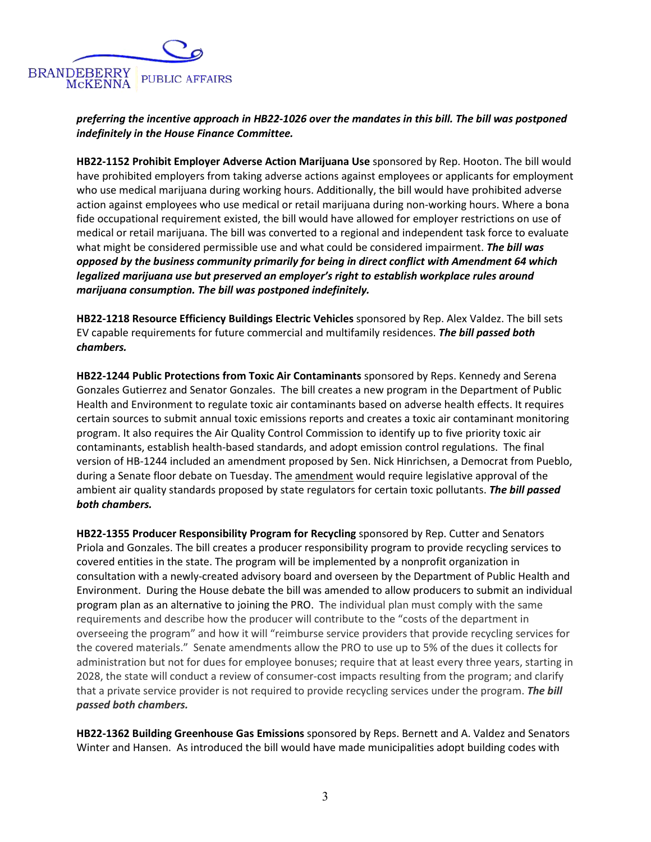

*preferring the incentive approach in HB22-1026 over the mandates in this bill. The bill was postponed indefinitely in the House Finance Committee.* 

**HB22-1152 Prohibit Employer Adverse Action Marijuana Use** sponsored by Rep. Hooton. The bill would have prohibited employers from taking adverse actions against employees or applicants for employment who use medical marijuana during working hours. Additionally, the bill would have prohibited adverse action against employees who use medical or retail marijuana during non-working hours. Where a bona fide occupational requirement existed, the bill would have allowed for employer restrictions on use of medical or retail marijuana. The bill was converted to a regional and independent task force to evaluate what might be considered permissible use and what could be considered impairment. *The bill was opposed by the business community primarily for being in direct conflict with Amendment 64 which legalized marijuana use but preserved an employer's right to establish workplace rules around marijuana consumption. The bill was postponed indefinitely.*

**HB22-1218 Resource Efficiency Buildings Electric Vehicles** sponsored by Rep. Alex Valdez. The bill sets EV capable requirements for future commercial and multifamily residences. *The bill passed both chambers.*

**HB22-1244 Public Protections from Toxic Air Contaminants** sponsored by Reps. Kennedy and Serena Gonzales Gutierrez and Senator Gonzales. The bill creates a new program in the Department of Public Health and Environment to regulate toxic air contaminants based on adverse health effects. It requires certain sources to submit annual toxic emissions reports and creates a toxic air contaminant monitoring program. It also requires the Air Quality Control Commission to identify up to five priority toxic air contaminants, establish health-based standards, and adopt emission control regulations. The final version of HB-1244 included an amendment proposed by Sen. Nick Hinrichsen, a Democrat from Pueblo, during a Senate floor debate on Tuesday. Th[e amendment](https://s3-us-west-2.amazonaws.com/leg.colorado.gov/2022A/amendments/HB1244_L.081.pdf) would require legislative approval of the ambient air quality standards proposed by state regulators for certain toxic pollutants. *The bill passed both chambers.*

**HB22-1355 Producer Responsibility Program for Recycling** sponsored by Rep. Cutter and Senators Priola and Gonzales. The bill creates a producer responsibility program to provide recycling services to covered entities in the state. The program will be implemented by a nonprofit organization in consultation with a newly-created advisory board and overseen by the Department of Public Health and Environment. During the House debate the bill was amended to allow producers to submit an individual program plan as an alternative to joining the PRO. The individual plan must comply with the same requirements and describe how the producer will contribute to the "costs of the department in overseeing the program" and how it will "reimburse service providers that provide recycling services for the covered materials." Senate amendments allow the PRO to use up to 5% of the dues it collects for administration but not for dues for employee bonuses; require that at least every three years, starting in 2028, the state will conduct a review of consumer-cost impacts resulting from the program; and clarify that a private service provider is not required to provide recycling services under the program. *The bill passed both chambers.* 

**HB22-1362 Building Greenhouse Gas Emissions** sponsored by Reps. Bernett and A. Valdez and Senators Winter and Hansen. As introduced the bill would have made municipalities adopt building codes with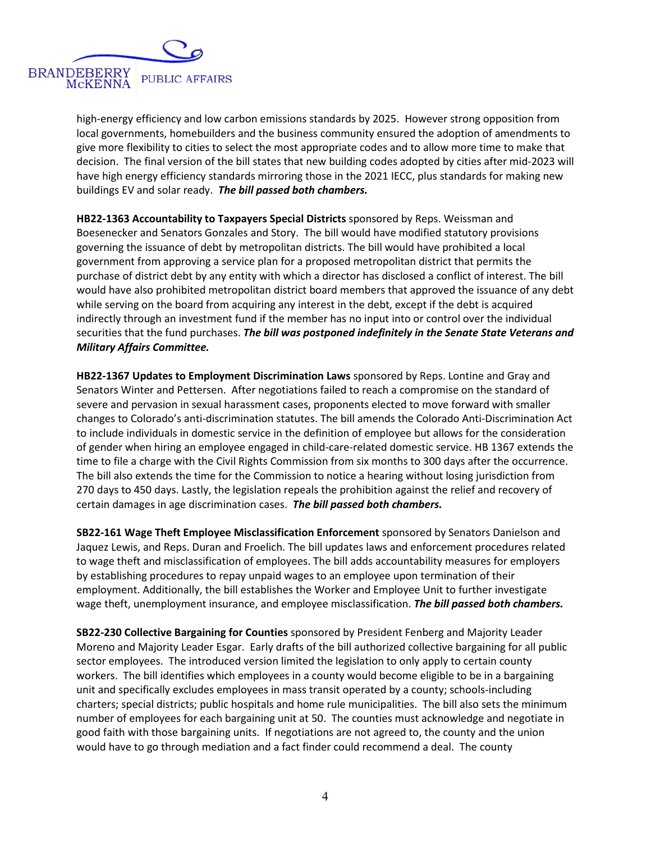

high-energy efficiency and low carbon emissions standards by 2025. However strong opposition from local governments, homebuilders and the business community ensured the adoption of amendments to give more flexibility to cities to select the most appropriate codes and to allow more time to make that decision. The final version of the bill states that new building codes adopted by cities after mid-2023 will have high energy efficiency standards mirroring those in the 2021 IECC, plus standards for making new buildings EV and solar ready. *The bill passed both chambers.*

**HB22-1363 Accountability to Taxpayers Special Districts** sponsored by Reps. Weissman and Boesenecker and Senators Gonzales and Story. The bill would have modified statutory provisions governing the issuance of debt by metropolitan districts. The bill would have prohibited a local government from approving a service plan for a proposed metropolitan district that permits the purchase of district debt by any entity with which a director has disclosed a conflict of interest. The bill would have also prohibited metropolitan district board members that approved the issuance of any debt while serving on the board from acquiring any interest in the debt, except if the debt is acquired indirectly through an investment fund if the member has no input into or control over the individual securities that the fund purchases. *The bill was postponed indefinitely in the Senate State Veterans and Military Affairs Committee.*

**HB22-1367 Updates to Employment Discrimination Laws** sponsored by Reps. Lontine and Gray and Senators Winter and Pettersen. After negotiations failed to reach a compromise on the standard of severe and pervasion in sexual harassment cases, proponents elected to move forward with smaller changes to Colorado's anti-discrimination statutes. The bill amends the Colorado Anti-Discrimination Act to include individuals in domestic service in the definition of employee but allows for the consideration of gender when hiring an employee engaged in child-care-related domestic service. HB 1367 extends the time to file a charge with the Civil Rights Commission from six months to 300 days after the occurrence. The bill also extends the time for the Commission to notice a hearing without losing jurisdiction from 270 days to 450 days. Lastly, the legislation repeals the prohibition against the relief and recovery of certain damages in age discrimination cases. *The bill passed both chambers.*

**SB22-161 Wage Theft Employee Misclassification Enforcement** sponsored by Senators Danielson and Jaquez Lewis, and Reps. Duran and Froelich. The bill updates laws and enforcement procedures related to wage theft and misclassification of employees. The bill adds accountability measures for employers by establishing procedures to repay unpaid wages to an employee upon termination of their employment. Additionally, the bill establishes the Worker and Employee Unit to further investigate wage theft, unemployment insurance, and employee misclassification. *The bill passed both chambers.*

**SB22-230 Collective Bargaining for Counties** sponsored by President Fenberg and Majority Leader Moreno and Majority Leader Esgar. Early drafts of the bill authorized collective bargaining for all public sector employees. The introduced version limited the legislation to only apply to certain county workers. The bill identifies which employees in a county would become eligible to be in a bargaining unit and specifically excludes employees in mass transit operated by a county; schools-including charters; special districts; public hospitals and home rule municipalities. The bill also sets the minimum number of employees for each bargaining unit at 50. The counties must acknowledge and negotiate in good faith with those bargaining units. If negotiations are not agreed to, the county and the union would have to go through mediation and a fact finder could recommend a deal. The county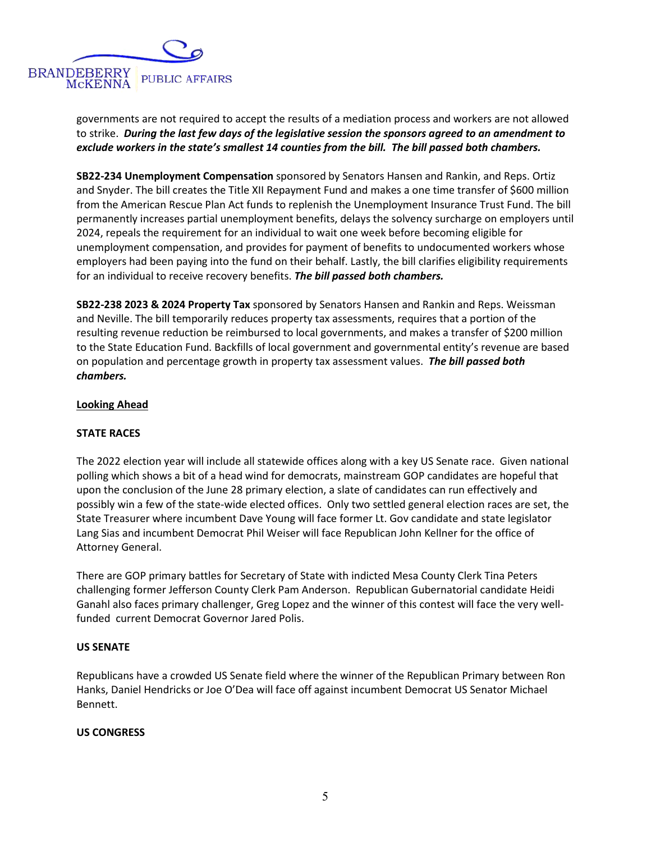

governments are not required to accept the results of a mediation process and workers are not allowed to strike. *During the last few days of the legislative session the sponsors agreed to an amendment to exclude workers in the state's smallest 14 counties from the bill. The bill passed both chambers.*

**SB22-234 Unemployment Compensation** sponsored by Senators Hansen and Rankin, and Reps. Ortiz and Snyder. The bill creates the Title XII Repayment Fund and makes a one time transfer of \$600 million from the American Rescue Plan Act funds to replenish the Unemployment Insurance Trust Fund. The bill permanently increases partial unemployment benefits, delays the solvency surcharge on employers until 2024, repeals the requirement for an individual to wait one week before becoming eligible for unemployment compensation, and provides for payment of benefits to undocumented workers whose employers had been paying into the fund on their behalf. Lastly, the bill clarifies eligibility requirements for an individual to receive recovery benefits. *The bill passed both chambers.*

**SB22-238 2023 & 2024 Property Tax** sponsored by Senators Hansen and Rankin and Reps. Weissman and Neville. The bill temporarily reduces property tax assessments, requires that a portion of the resulting revenue reduction be reimbursed to local governments, and makes a transfer of \$200 million to the State Education Fund. Backfills of local government and governmental entity's revenue are based on population and percentage growth in property tax assessment values. *The bill passed both chambers.*

#### **Looking Ahead**

## **STATE RACES**

The 2022 election year will include all statewide offices along with a key US Senate race. Given national polling which shows a bit of a head wind for democrats, mainstream GOP candidates are hopeful that upon the conclusion of the June 28 primary election, a slate of candidates can run effectively and possibly win a few of the state-wide elected offices. Only two settled general election races are set, the State Treasurer where incumbent Dave Young will face former Lt. Gov candidate and state legislator Lang Sias and incumbent Democrat Phil Weiser will face Republican John Kellner for the office of Attorney General.

There are GOP primary battles for Secretary of State with indicted Mesa County Clerk Tina Peters challenging former Jefferson County Clerk Pam Anderson. Republican Gubernatorial candidate Heidi Ganahl also faces primary challenger, Greg Lopez and the winner of this contest will face the very wellfunded current Democrat Governor Jared Polis.

#### **US SENATE**

Republicans have a crowded US Senate field where the winner of the Republican Primary between Ron Hanks, Daniel Hendricks or Joe O'Dea will face off against incumbent Democrat US Senator Michael Bennett.

#### **US CONGRESS**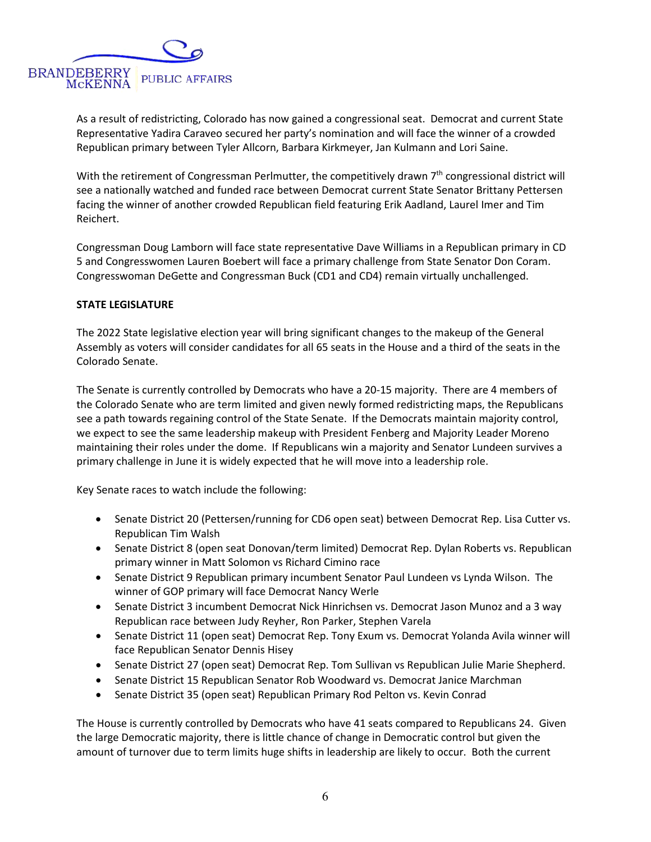

As a result of redistricting, Colorado has now gained a congressional seat. Democrat and current State Representative Yadira Caraveo secured her party's nomination and will face the winner of a crowded Republican primary between Tyler Allcorn, Barbara Kirkmeyer, Jan Kulmann and Lori Saine.

With the retirement of Congressman Perlmutter, the competitively drawn 7<sup>th</sup> congressional district will see a nationally watched and funded race between Democrat current State Senator Brittany Pettersen facing the winner of another crowded Republican field featuring Erik Aadland, Laurel Imer and Tim Reichert.

Congressman Doug Lamborn will face state representative Dave Williams in a Republican primary in CD 5 and Congresswomen Lauren Boebert will face a primary challenge from State Senator Don Coram. Congresswoman DeGette and Congressman Buck (CD1 and CD4) remain virtually unchallenged.

#### **STATE LEGISLATURE**

The 2022 State legislative election year will bring significant changes to the makeup of the General Assembly as voters will consider candidates for all 65 seats in the House and a third of the seats in the Colorado Senate.

The Senate is currently controlled by Democrats who have a 20-15 majority. There are 4 members of the Colorado Senate who are term limited and given newly formed redistricting maps, the Republicans see a path towards regaining control of the State Senate. If the Democrats maintain majority control, we expect to see the same leadership makeup with President Fenberg and Majority Leader Moreno maintaining their roles under the dome. If Republicans win a majority and Senator Lundeen survives a primary challenge in June it is widely expected that he will move into a leadership role.

Key Senate races to watch include the following:

- Senate District 20 (Pettersen/running for CD6 open seat) between Democrat Rep. Lisa Cutter vs. Republican Tim Walsh
- Senate District 8 (open seat Donovan/term limited) Democrat Rep. Dylan Roberts vs. Republican primary winner in Matt Solomon vs Richard Cimino race
- Senate District 9 Republican primary incumbent Senator Paul Lundeen vs Lynda Wilson. The winner of GOP primary will face Democrat Nancy Werle
- Senate District 3 incumbent Democrat Nick Hinrichsen vs. Democrat Jason Munoz and a 3 way Republican race between Judy Reyher, Ron Parker, Stephen Varela
- Senate District 11 (open seat) Democrat Rep. Tony Exum vs. Democrat Yolanda Avila winner will face Republican Senator Dennis Hisey
- Senate District 27 (open seat) Democrat Rep. Tom Sullivan vs Republican Julie Marie Shepherd.
- Senate District 15 Republican Senator Rob Woodward vs. Democrat Janice Marchman
- Senate District 35 (open seat) Republican Primary Rod Pelton vs. Kevin Conrad

The House is currently controlled by Democrats who have 41 seats compared to Republicans 24. Given the large Democratic majority, there is little chance of change in Democratic control but given the amount of turnover due to term limits huge shifts in leadership are likely to occur. Both the current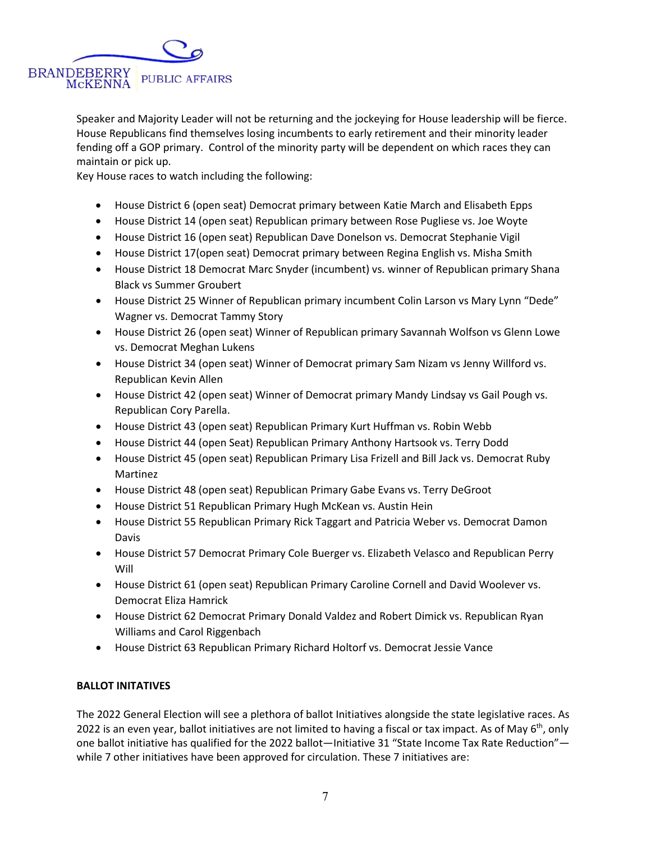

Speaker and Majority Leader will not be returning and the jockeying for House leadership will be fierce. House Republicans find themselves losing incumbents to early retirement and their minority leader fending off a GOP primary. Control of the minority party will be dependent on which races they can maintain or pick up.

Key House races to watch including the following:

- House District 6 (open seat) Democrat primary between Katie March and Elisabeth Epps
- House District 14 (open seat) Republican primary between Rose Pugliese vs. Joe Woyte
- House District 16 (open seat) Republican Dave Donelson vs. Democrat Stephanie Vigil
- House District 17(open seat) Democrat primary between Regina English vs. Misha Smith
- House District 18 Democrat Marc Snyder (incumbent) vs. winner of Republican primary Shana Black vs Summer Groubert
- House District 25 Winner of Republican primary incumbent Colin Larson vs Mary Lynn "Dede" Wagner vs. Democrat Tammy Story
- House District 26 (open seat) Winner of Republican primary Savannah Wolfson vs Glenn Lowe vs. Democrat Meghan Lukens
- House District 34 (open seat) Winner of Democrat primary Sam Nizam vs Jenny Willford vs. Republican Kevin Allen
- House District 42 (open seat) Winner of Democrat primary Mandy Lindsay vs Gail Pough vs. Republican Cory Parella.
- House District 43 (open seat) Republican Primary Kurt Huffman vs. Robin Webb
- House District 44 (open Seat) Republican Primary Anthony Hartsook vs. Terry Dodd
- House District 45 (open seat) Republican Primary Lisa Frizell and Bill Jack vs. Democrat Ruby Martinez
- House District 48 (open seat) Republican Primary Gabe Evans vs. Terry DeGroot
- House District 51 Republican Primary Hugh McKean vs. Austin Hein
- House District 55 Republican Primary Rick Taggart and Patricia Weber vs. Democrat Damon Davis
- House District 57 Democrat Primary Cole Buerger vs. Elizabeth Velasco and Republican Perry Will
- House District 61 (open seat) Republican Primary Caroline Cornell and David Woolever vs. Democrat Eliza Hamrick
- House District 62 Democrat Primary Donald Valdez and Robert Dimick vs. Republican Ryan Williams and Carol Riggenbach
- House District 63 Republican Primary Richard Holtorf vs. Democrat Jessie Vance

## **BALLOT INITATIVES**

The 2022 General Election will see a plethora of ballot Initiatives alongside the state legislative races. As 2022 is an even year, ballot initiatives are not limited to having a fiscal or tax impact. As of May  $6^{th}$ , only one ballot initiative has qualified for the 2022 ballot—Initiative 31 "State Income Tax Rate Reduction" while 7 other initiatives have been approved for circulation. These 7 initiatives are: